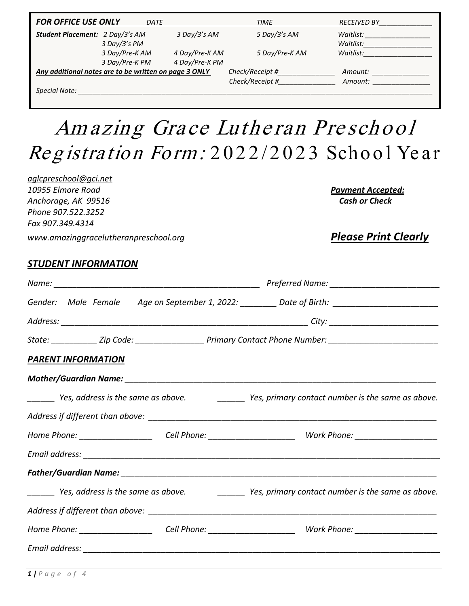| <b>FOR OFFICE USE ONLY</b>                            | DATE                             |                                  | TIME                               | <b>RECEIVED BY</b>     |
|-------------------------------------------------------|----------------------------------|----------------------------------|------------------------------------|------------------------|
| Student Placement: 2 Day/3's AM                       | 3 Day/3's PM                     | 3 Day/3's AM                     | 5 Day/3's AM                       | Waitlist:<br>Waitlist: |
|                                                       | 3 Day/Pre-K AM<br>3 Day/Pre-K PM | 4 Day/Pre-K AM<br>4 Day/Pre-K PM | 5 Day/Pre-K AM                     | Waitlist:              |
| Any additional notes are to be written on page 3 ONLY |                                  |                                  | Check/Receipt #<br>Check/Receipt # | Amount:<br>Amount:     |
| Special Note:                                         |                                  |                                  |                                    |                        |

# Amazing Grace Lutheran Preschool Registration Form: 2022/2023 School Year

*[aglcpreschool@gci.net](mailto:aglcpreschool@gci.net) 10955 Elmore Road Payment Accepted: Anchorage, AK 99516 Cash or Check Phone 907.522.3252 Fax 907.349.4314*

*www.amazinggracelutheranpreschool.org Please Print Clearly*

#### *STUDENT INFORMATION*

|                           | Gender: Male Female Age on September 1, 2022: ________ Date of Birth: ______________________________           |
|---------------------------|----------------------------------------------------------------------------------------------------------------|
|                           |                                                                                                                |
|                           | State: ____________ Zip Code: _____________________ Primary Contact Phone Number: ____________________________ |
| <b>PARENT INFORMATION</b> |                                                                                                                |
|                           |                                                                                                                |
|                           | ________ Yes, address is the same as above. ____________ Yes, primary contact number is the same as above.     |
|                           |                                                                                                                |
|                           | Home Phone: _________________________Cell Phone: _____________________________Work Phone: ____________________ |
|                           |                                                                                                                |
|                           |                                                                                                                |
|                           | _______ Yes, address is the same as above. ____________ Yes, primary contact number is the same as above.      |
|                           |                                                                                                                |
|                           | Home Phone: ________________________Cell Phone: ______________________________Work Phone: ____________________ |
|                           |                                                                                                                |
|                           |                                                                                                                |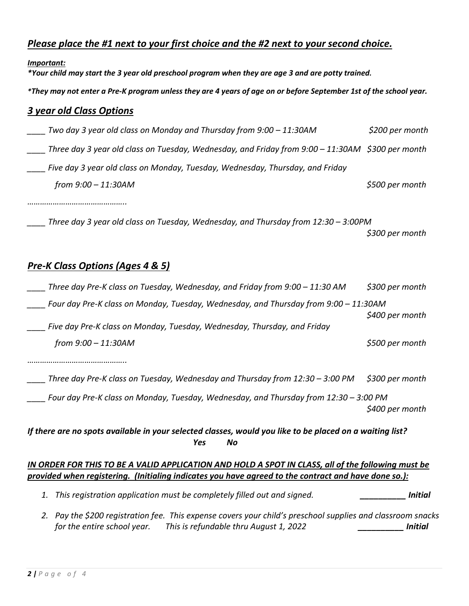## *Please place the #1 next to your first choice and the #2 next to your second choice.*

*Important:*

*\*Your child may start the 3 year old preschool program when they are age 3 and are potty trained.*

*\*They may not enter a Pre-K program unless they are 4 years of age on or before September 1st of the school year.*

#### *3 year old Class Options*

| Two day 3 year old class on Monday and Thursday from 9:00 - 11:30AM                              | \$200 per month |
|--------------------------------------------------------------------------------------------------|-----------------|
| Three day 3 year old class on Tuesday, Wednesday, and Friday from 9:00 - 11:30AM \$300 per month |                 |
| Five day 3 year old class on Monday, Tuesday, Wednesday, Thursday, and Friday                    |                 |
| from 9:00 - 11:30AM                                                                              | \$500 per month |
|                                                                                                  |                 |
| Three day 3 year old class on Tuesday, Wednesday, and Thursday from 12:30 - 3:00PM               |                 |
|                                                                                                  | \$300 per month |

#### *Pre-K Class Options (Ages 4 & 5)*

| Three day Pre-K class on Tuesday, Wednesday, and Friday from 9:00 - 11:30 AM                                                                                                                               | \$300 per month |  |  |  |  |
|------------------------------------------------------------------------------------------------------------------------------------------------------------------------------------------------------------|-----------------|--|--|--|--|
| Four day Pre-K class on Monday, Tuesday, Wednesday, and Thursday from 9:00 - 11:30AM                                                                                                                       | \$400 per month |  |  |  |  |
| Five day Pre-K class on Monday, Tuesday, Wednesday, Thursday, and Friday                                                                                                                                   |                 |  |  |  |  |
| from 9:00 - 11:30AM                                                                                                                                                                                        | \$500 per month |  |  |  |  |
|                                                                                                                                                                                                            |                 |  |  |  |  |
| Three day Pre-K class on Tuesday, Wednesday and Thursday from 12:30 - 3:00 PM                                                                                                                              | \$300 per month |  |  |  |  |
| Four day Pre-K class on Monday, Tuesday, Wednesday, and Thursday from 12:30 – 3:00 PM                                                                                                                      | \$400 per month |  |  |  |  |
| If there are no spots available in your selected classes, would you like to be placed on a waiting list?<br>Yes<br>No.                                                                                     |                 |  |  |  |  |
| IN ORDER FOR THIS TO BE A VALID APPLICATION AND HOLD A SPOT IN CLASS, all of the following must be<br>provided when registering. (Initialing indicates you have agreed to the contract and have done so.): |                 |  |  |  |  |

- *1. This registration application must be completely filled out and signed. \_\_\_\_\_\_\_\_\_\_ Initial*
- *2. Pay the \$200 registration fee. This expense covers your child's preschool supplies and classroom snacks for the entire school year. This is refundable thru August 1, 2022 \_\_\_\_\_\_\_\_\_\_ Initial*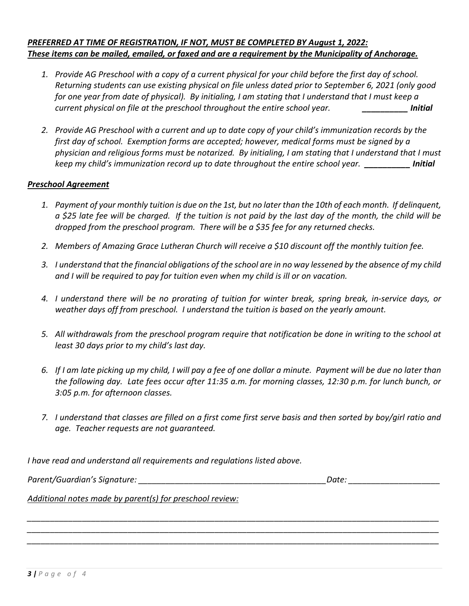#### *PREFERRED AT TIME OF REGISTRATION, IF NOT, MUST BE COMPLETED BY August 1, 2022: These items can be mailed, emailed, or faxed and are a requirement by the Municipality of Anchorage.*

- *1. Provide AG Preschool with a copy of a current physical for your child before the first day of school. Returning students can use existing physical on file unless dated prior to September 6, 2021 (only good for one year from date of physical). By initialing, I am stating that I understand that I must keep a current physical on file at the preschool throughout the entire school year. \_\_\_\_\_\_\_\_\_\_ Initial*
- *2. Provide AG Preschool with a current and up to date copy of your child's immunization records by the first day of school. Exemption forms are accepted; however, medical forms must be signed by a physician and religious forms must be notarized. By initialing, I am stating that I understand that I must keep my child's immunization record up to date throughout the entire school year. \_\_\_\_\_\_\_\_\_\_ Initial*

#### *Preschool Agreement*

- *1. Payment of your monthly tuition is due on the 1st, but no later than the 10th of each month. If delinquent, a \$25 late fee will be charged. If the tuition is not paid by the last day of the month, the child will be dropped from the preschool program. There will be a \$35 fee for any returned checks.*
- *2. Members of Amazing Grace Lutheran Church will receive a \$10 discount off the monthly tuition fee.*
- *3. I understand that the financial obligations of the school are in no way lessened by the absence of my child and I will be required to pay for tuition even when my child is ill or on vacation.*
- *4. I understand there will be no prorating of tuition for winter break, spring break, in-service days, or weather days off from preschool. I understand the tuition is based on the yearly amount.*
- *5. All withdrawals from the preschool program require that notification be done in writing to the school at least 30 days prior to my child's last day.*
- *6. If I am late picking up my child, I will pay a fee of one dollar a minute. Payment will be due no later than the following day. Late fees occur after 11:35 a.m. for morning classes, 12:30 p.m. for lunch bunch, or 3:05 p.m. for afternoon classes.*
- *7. I understand that classes are filled on a first come first serve basis and then sorted by boy/girl ratio and age. Teacher requests are not guaranteed.*

*\_\_\_\_\_\_\_\_\_\_\_\_\_\_\_\_\_\_\_\_\_\_\_\_\_\_\_\_\_\_\_\_\_\_\_\_\_\_\_\_\_\_\_\_\_\_\_\_\_\_\_\_\_\_\_\_\_\_\_\_\_\_\_\_\_\_\_\_\_\_\_\_\_\_\_\_\_\_\_\_\_\_\_\_\_\_\_\_\_\_ \_\_\_\_\_\_\_\_\_\_\_\_\_\_\_\_\_\_\_\_\_\_\_\_\_\_\_\_\_\_\_\_\_\_\_\_\_\_\_\_\_\_\_\_\_\_\_\_\_\_\_\_\_\_\_\_\_\_\_\_\_\_\_\_\_\_\_\_\_\_\_\_\_\_\_\_\_\_\_\_\_\_\_\_\_\_\_\_\_\_ \_\_\_\_\_\_\_\_\_\_\_\_\_\_\_\_\_\_\_\_\_\_\_\_\_\_\_\_\_\_\_\_\_\_\_\_\_\_\_\_\_\_\_\_\_\_\_\_\_\_\_\_\_\_\_\_\_\_\_\_\_\_\_\_\_\_\_\_\_\_\_\_\_\_\_\_\_\_\_\_\_\_\_\_\_\_\_\_\_\_*

*I have read and understand all requirements and regulations listed above.* 

*Parent/Guardian's Signature: \_\_\_\_\_\_\_\_\_\_\_\_\_\_\_\_\_\_\_\_\_\_\_\_\_\_\_\_\_\_\_\_\_\_\_\_\_\_\_\_\_Date: \_\_\_\_\_\_\_\_\_\_\_\_\_\_\_\_\_\_\_\_*

*Additional notes made by parent(s) for preschool review:*